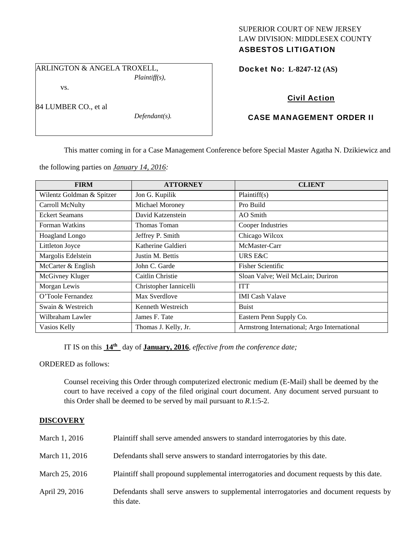## SUPERIOR COURT OF NEW JERSEY LAW DIVISION: MIDDLESEX COUNTY ASBESTOS LITIGATION

ARLINGTON & ANGELA TROXELL,

vs.

84 LUMBER CO., et al

*Defendant(s).* 

*Plaintiff(s),* 

Docket No: **L-8247-12 (AS)** 

# Civil Action

## CASE MANAGEMENT ORDER II

This matter coming in for a Case Management Conference before Special Master Agatha N. Dzikiewicz and

the following parties on *January 14, 2016:* 

| <b>FIRM</b>               | <b>ATTORNEY</b>        | <b>CLIENT</b>                               |
|---------------------------|------------------------|---------------------------------------------|
| Wilentz Goldman & Spitzer | Jon G. Kupilik         | Plaintiff(s)                                |
| Carroll McNulty           | Michael Moroney        | Pro Build                                   |
| <b>Eckert Seamans</b>     | David Katzenstein      | AO Smith                                    |
| Forman Watkins            | Thomas Toman           | Cooper Industries                           |
| Hoagland Longo            | Jeffrey P. Smith       | Chicago Wilcox                              |
| Littleton Joyce           | Katherine Galdieri     | McMaster-Carr                               |
| Margolis Edelstein        | Justin M. Bettis       | URS E&C                                     |
| McCarter & English        | John C. Garde          | <b>Fisher Scientific</b>                    |
| McGivney Kluger           | Caitlin Christie       | Sloan Valve; Weil McLain; Duriron           |
| Morgan Lewis              | Christopher Iannicelli | <b>ITT</b>                                  |
| O'Toole Fernandez         | Max Sverdlove          | <b>IMI</b> Cash Valave                      |
| Swain & Westreich         | Kenneth Westreich      | <b>Buist</b>                                |
| Wilbraham Lawler          | James F. Tate          | Eastern Penn Supply Co.                     |
| Vasios Kelly              | Thomas J. Kelly, Jr.   | Armstrong International; Argo International |

IT IS on this **14th** day of **January, 2016**, *effective from the conference date;*

ORDERED as follows:

Counsel receiving this Order through computerized electronic medium (E-Mail) shall be deemed by the court to have received a copy of the filed original court document. Any document served pursuant to this Order shall be deemed to be served by mail pursuant to *R*.1:5-2.

## **DISCOVERY**

| March 1, 2016  | Plaintiff shall serve amended answers to standard interrogatories by this date.                       |
|----------------|-------------------------------------------------------------------------------------------------------|
| March 11, 2016 | Defendants shall serve answers to standard interrogatories by this date.                              |
| March 25, 2016 | Plaintiff shall propound supplemental interrogatories and document requests by this date.             |
| April 29, 2016 | Defendants shall serve answers to supplemental interrogatories and document requests by<br>this date. |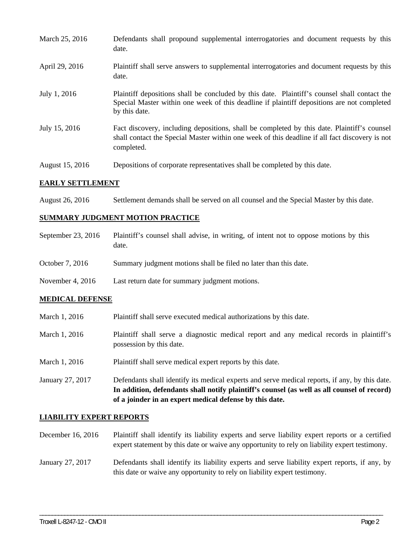| March 25, 2016  | Defendants shall propound supplemental interrogatories and document requests by this<br>date.                                                                                                               |
|-----------------|-------------------------------------------------------------------------------------------------------------------------------------------------------------------------------------------------------------|
| April 29, 2016  | Plaintiff shall serve answers to supplemental interrogatories and document requests by this<br>date.                                                                                                        |
| July 1, 2016    | Plaintiff depositions shall be concluded by this date. Plaintiff's counsel shall contact the<br>Special Master within one week of this deadline if plaintiff depositions are not completed<br>by this date. |
| July 15, 2016   | Fact discovery, including depositions, shall be completed by this date. Plaintiff's counsel<br>shall contact the Special Master within one week of this deadline if all fact discovery is not<br>completed. |
| August 15, 2016 | Depositions of corporate representatives shall be completed by this date.                                                                                                                                   |

## **EARLY SETTLEMENT**

August 26, 2016 Settlement demands shall be served on all counsel and the Special Master by this date.

#### **SUMMARY JUDGMENT MOTION PRACTICE**

| September 23, 2016 | Plaintiff's counsel shall advise, in writing, of intent not to oppose motions by this<br>date. |
|--------------------|------------------------------------------------------------------------------------------------|
| October 7, 2016    | Summary judgment motions shall be filed no later than this date.                               |

November 4, 2016 Last return date for summary judgment motions.

## **MEDICAL DEFENSE**

| Plaintiff shall serve executed medical authorizations by this date. |
|---------------------------------------------------------------------|
|                                                                     |

- March 1, 2016 Plaintiff shall serve a diagnostic medical report and any medical records in plaintiff's possession by this date.
- March 1, 2016 Plaintiff shall serve medical expert reports by this date.
- January 27, 2017 Defendants shall identify its medical experts and serve medical reports, if any, by this date. **In addition, defendants shall notify plaintiff's counsel (as well as all counsel of record) of a joinder in an expert medical defense by this date.**

#### **LIABILITY EXPERT REPORTS**

December 16, 2016 Plaintiff shall identify its liability experts and serve liability expert reports or a certified expert statement by this date or waive any opportunity to rely on liability expert testimony.

## January 27, 2017 Defendants shall identify its liability experts and serve liability expert reports, if any, by this date or waive any opportunity to rely on liability expert testimony.

\_\_\_\_\_\_\_\_\_\_\_\_\_\_\_\_\_\_\_\_\_\_\_\_\_\_\_\_\_\_\_\_\_\_\_\_\_\_\_\_\_\_\_\_\_\_\_\_\_\_\_\_\_\_\_\_\_\_\_\_\_\_\_\_\_\_\_\_\_\_\_\_\_\_\_\_\_\_\_\_\_\_\_\_\_\_\_\_\_\_\_\_\_\_\_\_\_\_\_\_\_\_\_\_\_\_\_\_\_\_